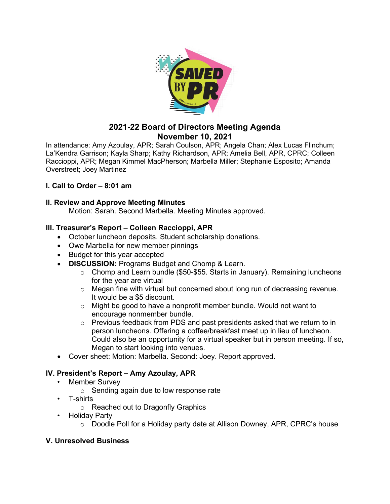

# **2021-22 Board of Directors Meeting Agenda November 10, 2021**

In attendance: Amy Azoulay, APR; Sarah Coulson, APR; Angela Chan; Alex Lucas Flinchum; La'Kendra Garrison; Kayla Sharp; Kathy Richardson, APR; Amelia Bell, APR, CPRC; Colleen Raccioppi, APR; Megan Kimmel MacPherson; Marbella Miller; Stephanie Esposito; Amanda Overstreet; Joey Martinez

# **I. Call to Order – 8:01 am**

#### **II. Review and Approve Meeting Minutes**

Motion: Sarah. Second Marbella. Meeting Minutes approved.

#### **III. Treasurer's Report – Colleen Raccioppi, APR**

- October luncheon deposits. Student scholarship donations.
- Owe Marbella for new member pinnings
- Budget for this year accepted
- **DISCUSSION:** Programs Budget and Chomp & Learn.
	- $\circ$  Chomp and Learn bundle (\$50-\$55. Starts in January). Remaining luncheons for the year are virtual
	- $\circ$  Megan fine with virtual but concerned about long run of decreasing revenue. It would be a \$5 discount.
	- $\circ$  Might be good to have a nonprofit member bundle. Would not want to encourage nonmember bundle.
	- o Previous feedback from PDS and past presidents asked that we return to in person luncheons. Offering a coffee/breakfast meet up in lieu of luncheon. Could also be an opportunity for a virtual speaker but in person meeting. If so, Megan to start looking into venues.
- Cover sheet: Motion: Marbella. Second: Joey. Report approved.

# **IV. President's Report – Amy Azoulay, APR**

- **Member Survey** 
	- o Sending again due to low response rate
- T-shirts
	- o Reached out to Dragonfly Graphics
- Holiday Party
	- o Doodle Poll for a Holiday party date at Allison Downey, APR, CPRC's house

#### **V. Unresolved Business**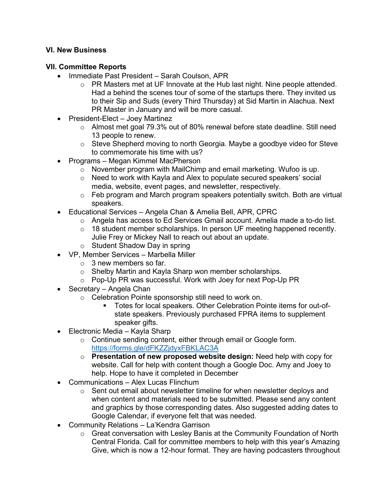## **VI. New Business**

## **VII. Committee Reports**

- Immediate Past President Sarah Coulson, APR
	- o PR Masters met at UF Innovate at the Hub last night. Nine people attended. Had a behind the scenes tour of some of the startups there. They invited us to their Sip and Suds (every Third Thursday) at Sid Martin in Alachua. Next PR Master in January and will be more casual.
- President-Elect Joey Martinez
	- o Almost met goal 79.3% out of 80% renewal before state deadline. Still need 13 people to renew.
	- o Steve Shepherd moving to north Georgia. Maybe a goodbye video for Steve to commemorate his time with us?
- Programs Megan Kimmel MacPherson
	- $\circ$  November program with MailChimp and email marketing. Wufoo is up.
	- o Need to work with Kayla and Alex to populate secured speakers' social media, website, event pages, and newsletter, respectively.
	- o Feb program and March program speakers potentially switch. Both are virtual speakers.
- Educational Services Angela Chan & Amelia Bell, APR, CPRC
	- o Angela has access to Ed Services Gmail account. Amelia made a to-do list.
	- o 18 student member scholarships. In person UF meeting happened recently. Julie Frey or Mickey Nall to reach out about an update.
	- o Student Shadow Day in spring
- VP, Member Services Marbella Miller
	- $\circ$  3 new members so far.
	- o Shelby Martin and Kayla Sharp won member scholarships.
	- o Pop-Up PR was successful. Work with Joey for next Pop-Up PR
- Secretary Angela Chan
	- o Celebration Pointe sponsorship still need to work on.
		- **Totes for local speakers. Other Celebration Pointe items for out-of**state speakers. Previously purchased FPRA items to supplement speaker gifts.
- Electronic Media Kayla Sharp
	- o Continue sending content, either through email or Google form. <https://forms.gle/dFKZZjdyxFBKLAC3A>
	- o **Presentation of new proposed website design:** Need help with copy for website. Call for help with content though a Google Doc. Amy and Joey to help. Hope to have it completed in December
- Communications Alex Lucas Flinchum
	- $\circ$  Sent out email about newsletter timeline for when newsletter deploys and when content and materials need to be submitted. Please send any content and graphics by those corresponding dates. Also suggested adding dates to Google Calendar, if everyone felt that was needed.
- Community Relations La'Kendra Garrison
	- $\circ$  Great conversation with Lesley Banis at the Community Foundation of North Central Florida. Call for committee members to help with this year's Amazing Give, which is now a 12-hour format. They are having podcasters throughout